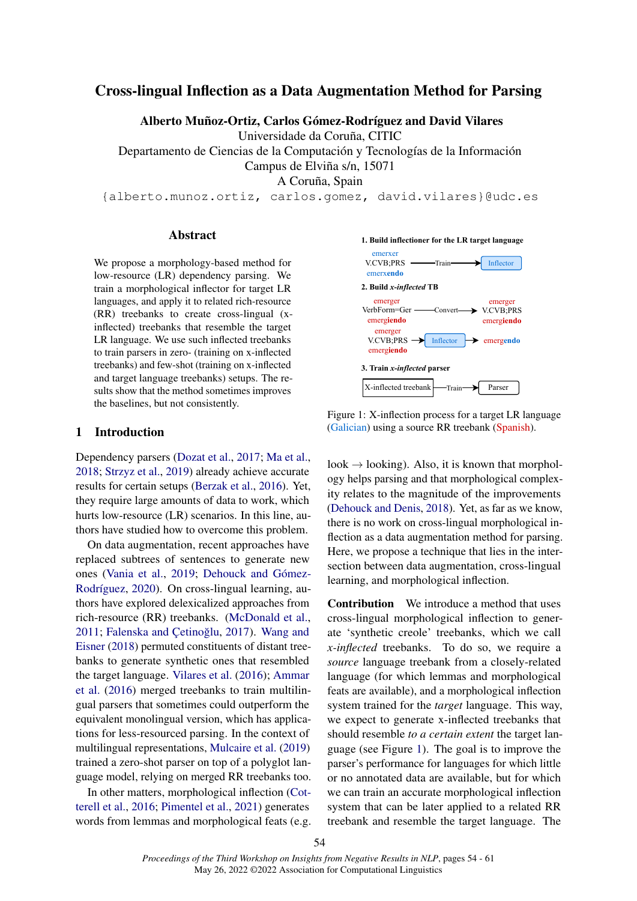# Cross-lingual Inflection as a Data Augmentation Method for Parsing

Alberto Muñoz-Ortiz, Carlos Gómez-Rodríguez and David Vilares

Universidade da Coruña, CITIC

Departamento de Ciencias de la Computación y Tecnologías de la Información Campus de Elviña s/n, 15071

A Coruña, Spain

{alberto.munoz.ortiz, carlos.gomez, david.vilares}@udc.es

## Abstract

We propose a morphology-based method for low-resource (LR) dependency parsing. We train a morphological inflector for target LR languages, and apply it to related rich-resource (RR) treebanks to create cross-lingual (xinflected) treebanks that resemble the target LR language. We use such inflected treebanks to train parsers in zero- (training on x-inflected treebanks) and few-shot (training on x-inflected and target language treebanks) setups. The results show that the method sometimes improves the baselines, but not consistently.

#### 1 Introduction

Dependency parsers (Dozat et al., 2017; Ma et al., 2018; Strzyz et al., 2019) already achieve accurate results for certain setups (Berzak et al., 2016). Yet, they require large amounts of data to work, which hurts low-resource (LR) scenarios. In this line, authors have studied how to overcome this problem.

On data augmentation, recent approaches have replaced subtrees of sentences to generate new ones (Vania et al., 2019; Dehouck and Gómez-Rodríguez, 2020). On cross-lingual learning, authors have explored delexicalized approaches from rich-resource (RR) treebanks. (McDonald et al., 2011; Falenska and Cetinoğlu, 2017). Wang and Eisner (2018) permuted constituents of distant treebanks to generate synthetic ones that resembled the target language. Vilares et al. (2016); Ammar et al. (2016) merged treebanks to train multilingual parsers that sometimes could outperform the equivalent monolingual version, which has applications for less-resourced parsing. In the context of multilingual representations, Mulcaire et al. (2019) trained a zero-shot parser on top of a polyglot language model, relying on merged RR treebanks too.

In other matters, morphological inflection (Cotterell et al., 2016; Pimentel et al., 2021) generates words from lemmas and morphological feats (e.g.



Figure 1: X-inflection process for a target LR language (Galician) using a source RR treebank (Spanish).

 $look \rightarrow looking$ ). Also, it is known that morphology helps parsing and that morphological complexity relates to the magnitude of the improvements (Dehouck and Denis, 2018). Yet, as far as we know, there is no work on cross-lingual morphological inflection as a data augmentation method for parsing. Here, we propose a technique that lies in the intersection between data augmentation, cross-lingual learning, and morphological inflection.

Contribution We introduce a method that uses cross-lingual morphological inflection to generate 'synthetic creole' treebanks, which we call *x-inflected* treebanks. To do so, we require a *source* language treebank from a closely-related language (for which lemmas and morphological feats are available), and a morphological inflection system trained for the *target* language. This way, we expect to generate x-inflected treebanks that should resemble *to a certain extent* the target language (see Figure 1). The goal is to improve the parser's performance for languages for which little or no annotated data are available, but for which we can train an accurate morphological inflection system that can be later applied to a related RR treebank and resemble the target language. The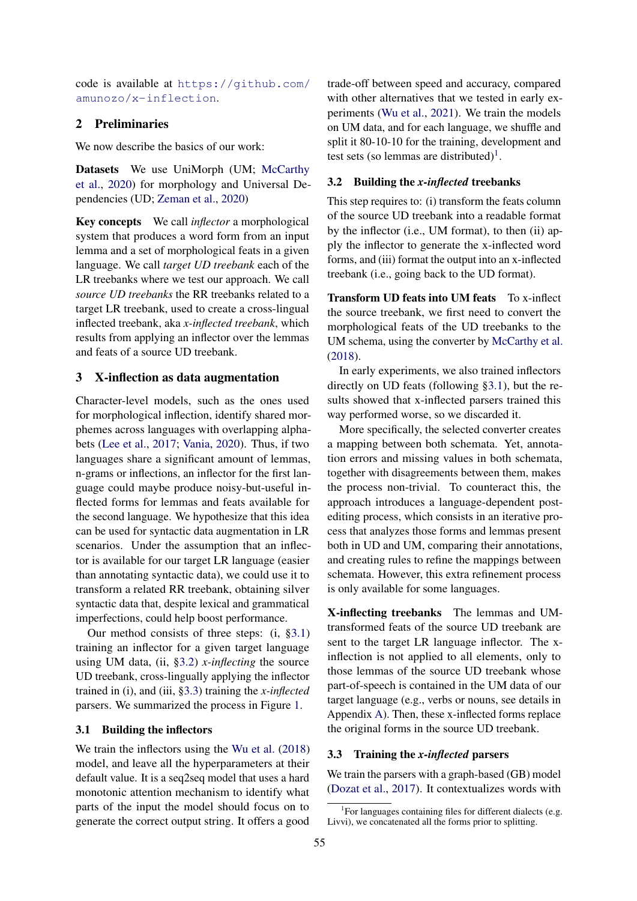code is available at https://github.com/ amunozo/x-inflection.

# 2 Preliminaries

We now describe the basics of our work:

Datasets We use UniMorph (UM; McCarthy et al., 2020) for morphology and Universal Dependencies (UD; Zeman et al., 2020)

Key concepts We call *inflector* a morphological system that produces a word form from an input lemma and a set of morphological feats in a given language. We call *target UD treebank* each of the LR treebanks where we test our approach. We call *source UD treebanks* the RR treebanks related to a target LR treebank, used to create a cross-lingual inflected treebank, aka *x-inflected treebank*, which results from applying an inflector over the lemmas and feats of a source UD treebank.

#### 3 X-inflection as data augmentation

Character-level models, such as the ones used for morphological inflection, identify shared morphemes across languages with overlapping alphabets (Lee et al., 2017; Vania, 2020). Thus, if two languages share a significant amount of lemmas, n-grams or inflections, an inflector for the first language could maybe produce noisy-but-useful inflected forms for lemmas and feats available for the second language. We hypothesize that this idea can be used for syntactic data augmentation in LR scenarios. Under the assumption that an inflector is available for our target LR language (easier than annotating syntactic data), we could use it to transform a related RR treebank, obtaining silver syntactic data that, despite lexical and grammatical imperfections, could help boost performance.

Our method consists of three steps: (i, §3.1) training an inflector for a given target language using UM data, (ii, §3.2) *x-inflecting* the source UD treebank, cross-lingually applying the inflector trained in (i), and (iii, §3.3) training the *x-inflected* parsers. We summarized the process in Figure 1.

#### 3.1 Building the inflectors

We train the inflectors using the Wu et al. (2018) model, and leave all the hyperparameters at their default value. It is a seq2seq model that uses a hard monotonic attention mechanism to identify what parts of the input the model should focus on to generate the correct output string. It offers a good

trade-off between speed and accuracy, compared with other alternatives that we tested in early experiments (Wu et al., 2021). We train the models on UM data, and for each language, we shuffle and split it 80-10-10 for the training, development and test sets (so lemmas are distributed)<sup>1</sup>.

### 3.2 Building the *x-inflected* treebanks

This step requires to: (i) transform the feats column of the source UD treebank into a readable format by the inflector (i.e., UM format), to then (ii) apply the inflector to generate the x-inflected word forms, and (iii) format the output into an x-inflected treebank (i.e., going back to the UD format).

Transform UD feats into UM feats To x-inflect the source treebank, we first need to convert the morphological feats of the UD treebanks to the UM schema, using the converter by McCarthy et al. (2018).

In early experiments, we also trained inflectors directly on UD feats (following §3.1), but the results showed that x-inflected parsers trained this way performed worse, so we discarded it.

More specifically, the selected converter creates a mapping between both schemata. Yet, annotation errors and missing values in both schemata, together with disagreements between them, makes the process non-trivial. To counteract this, the approach introduces a language-dependent postediting process, which consists in an iterative process that analyzes those forms and lemmas present both in UD and UM, comparing their annotations, and creating rules to refine the mappings between schemata. However, this extra refinement process is only available for some languages.

X-inflecting treebanks The lemmas and UMtransformed feats of the source UD treebank are sent to the target LR language inflector. The xinflection is not applied to all elements, only to those lemmas of the source UD treebank whose part-of-speech is contained in the UM data of our target language (e.g., verbs or nouns, see details in Appendix A). Then, these x-inflected forms replace the original forms in the source UD treebank.

### 3.3 Training the *x-inflected* parsers

We train the parsers with a graph-based (GB) model (Dozat et al., 2017). It contextualizes words with

<sup>&</sup>lt;sup>1</sup>For languages containing files for different dialects (e.g. Livvi), we concatenated all the forms prior to splitting.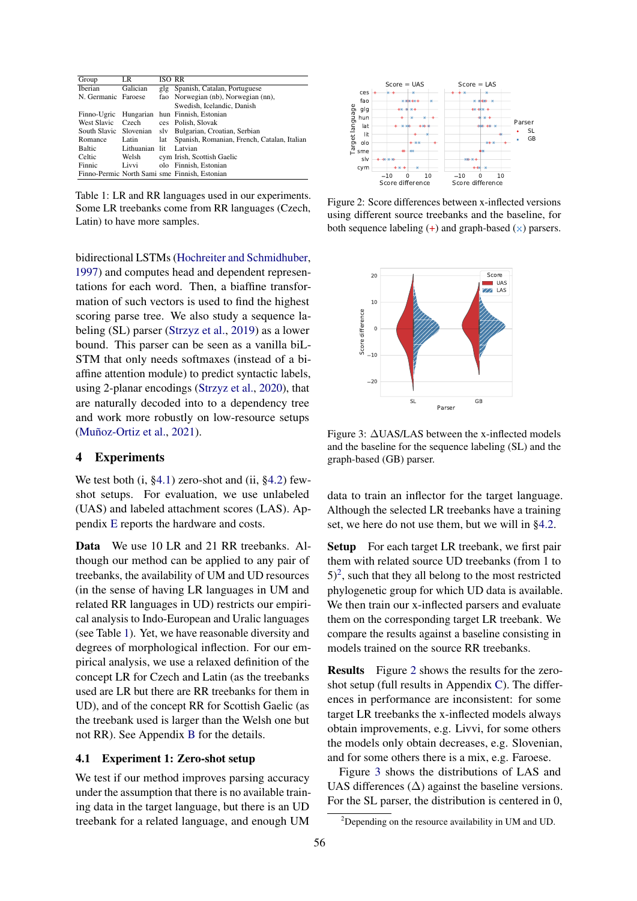| Group               | LR         | ISO RR |                                               |
|---------------------|------------|--------|-----------------------------------------------|
| Iberian             | Galician   | glg    | Spanish, Catalan, Portuguese                  |
| N. Germanic Faroese |            |        | fao Norwegian (nb), Norwegian (nn),           |
|                     |            |        | Swedish, Icelandic, Danish                    |
| Finno-Ugric         | Hungarian  |        | hun Finnish, Estonian                         |
| <b>West Slavic</b>  | Czech      |        | ces Polish, Slovak                            |
| South Slavic        | Slovenian  | slv    | Bulgarian, Croatian, Serbian                  |
| Romance             | Latin      | lat    | Spanish, Romanian, French, Catalan, Italian   |
| <b>Baltic</b>       | Lithuanian | lit    | Latvian                                       |
| Celtic              | Welsh      |        | cym Irish, Scottish Gaelic                    |
| Finnic              | Livvi      |        | olo Finnish, Estonian                         |
|                     |            |        | Finno-Permic North Sami sme Finnish, Estonian |

Table 1: LR and RR languages used in our experiments. Some LR treebanks come from RR languages (Czech, Latin) to have more samples.

bidirectional LSTMs (Hochreiter and Schmidhuber, 1997) and computes head and dependent representations for each word. Then, a biaffine transformation of such vectors is used to find the highest scoring parse tree. We also study a sequence labeling (SL) parser (Strzyz et al., 2019) as a lower bound. This parser can be seen as a vanilla biL-STM that only needs softmaxes (instead of a biaffine attention module) to predict syntactic labels, using 2-planar encodings (Strzyz et al., 2020), that are naturally decoded into to a dependency tree and work more robustly on low-resource setups (Muñoz-Ortiz et al., 2021).

### 4 Experiments

We test both (i, §4.1) zero-shot and (ii, §4.2) fewshot setups. For evaluation, we use unlabeled (UAS) and labeled attachment scores (LAS). Appendix E reports the hardware and costs.

Data We use 10 LR and 21 RR treebanks. Although our method can be applied to any pair of treebanks, the availability of UM and UD resources (in the sense of having LR languages in UM and related RR languages in UD) restricts our empirical analysis to Indo-European and Uralic languages (see Table 1). Yet, we have reasonable diversity and degrees of morphological inflection. For our empirical analysis, we use a relaxed definition of the concept LR for Czech and Latin (as the treebanks used are LR but there are RR treebanks for them in UD), and of the concept RR for Scottish Gaelic (as the treebank used is larger than the Welsh one but not RR). See Appendix B for the details.

### 4.1 Experiment 1: Zero-shot setup

We test if our method improves parsing accuracy under the assumption that there is no available training data in the target language, but there is an UD treebank for a related language, and enough UM



Figure 2: Score differences between x-inflected versions using different source treebanks and the baseline, for both sequence labeling  $(+)$  and graph-based  $(x)$  parsers.



Figure 3: ∆UAS/LAS between the x-inflected models and the baseline for the sequence labeling (SL) and the graph-based (GB) parser.

data to train an inflector for the target language. Although the selected LR treebanks have a training set, we here do not use them, but we will in §4.2.

Setup For each target LR treebank, we first pair them with related source UD treebanks (from 1 to  $(5)^2$ , such that they all belong to the most restricted phylogenetic group for which UD data is available. We then train our x-inflected parsers and evaluate them on the corresponding target LR treebank. We compare the results against a baseline consisting in models trained on the source RR treebanks.

Results Figure 2 shows the results for the zeroshot setup (full results in Appendix C). The differences in performance are inconsistent: for some target LR treebanks the x-inflected models always obtain improvements, e.g. Livvi, for some others the models only obtain decreases, e.g. Slovenian, and for some others there is a mix, e.g. Faroese.

Figure 3 shows the distributions of LAS and UAS differences  $(\Delta)$  against the baseline versions. For the SL parser, the distribution is centered in 0,

<sup>2</sup>Depending on the resource availability in UM and UD.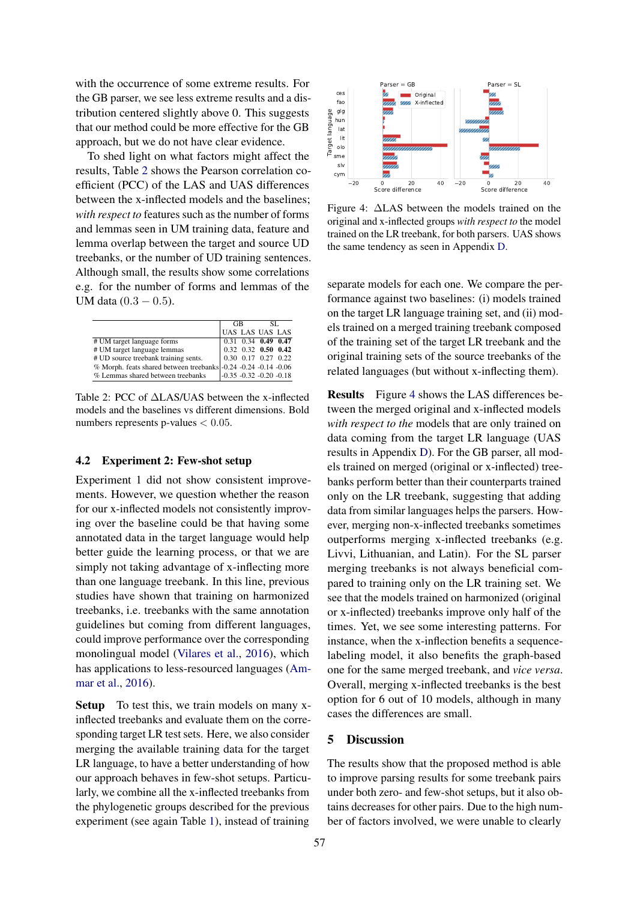with the occurrence of some extreme results. For the GB parser, we see less extreme results and a distribution centered slightly above 0. This suggests that our method could be more effective for the GB approach, but we do not have clear evidence.

To shed light on what factors might affect the results, Table 2 shows the Pearson correlation coefficient (PCC) of the LAS and UAS differences between the x-inflected models and the baselines; *with respect to* features such as the number of forms and lemmas seen in UM training data, feature and lemma overlap between the target and source UD treebanks, or the number of UD training sentences. Although small, the results show some correlations e.g. for the number of forms and lemmas of the UM data  $(0.3 - 0.5)$ .

|                                                                 | GB |  | SL.                            |  |
|-----------------------------------------------------------------|----|--|--------------------------------|--|
|                                                                 |    |  | UAS LAS UAS LAS                |  |
| # UM target language forms                                      |    |  | $0.31$ $0.34$ <b>0.49 0.47</b> |  |
| # UM target language lemmas                                     |    |  | $0.32$ $0.32$ $0.50$ $0.42$    |  |
| # UD source treebank training sents.                            |    |  |                                |  |
| % Morph. feats shared between treebanks -0.24 -0.24 -0.14 -0.06 |    |  |                                |  |
| % Lemmas shared between treebanks                               |    |  | $-0.35 -0.32 -0.20 -0.18$      |  |

Table 2: PCC of ∆LAS/UAS between the x-inflected models and the baselines vs different dimensions. Bold numbers represents p-values  $< 0.05$ .

## 4.2 Experiment 2: Few-shot setup

Experiment 1 did not show consistent improvements. However, we question whether the reason for our x-inflected models not consistently improving over the baseline could be that having some annotated data in the target language would help better guide the learning process, or that we are simply not taking advantage of x-inflecting more than one language treebank. In this line, previous studies have shown that training on harmonized treebanks, i.e. treebanks with the same annotation guidelines but coming from different languages, could improve performance over the corresponding monolingual model (Vilares et al., 2016), which has applications to less-resourced languages (Ammar et al., 2016).

Setup To test this, we train models on many xinflected treebanks and evaluate them on the corresponding target LR test sets. Here, we also consider merging the available training data for the target LR language, to have a better understanding of how our approach behaves in few-shot setups. Particularly, we combine all the x-inflected treebanks from the phylogenetic groups described for the previous experiment (see again Table 1), instead of training



Figure 4: ∆LAS between the models trained on the original and x-inflected groups *with respect to* the model trained on the LR treebank, for both parsers. UAS shows the same tendency as seen in Appendix D.

separate models for each one. We compare the performance against two baselines: (i) models trained on the target LR language training set, and (ii) models trained on a merged training treebank composed of the training set of the target LR treebank and the original training sets of the source treebanks of the related languages (but without x-inflecting them).

Results Figure 4 shows the LAS differences between the merged original and x-inflected models *with respect to the* models that are only trained on data coming from the target LR language (UAS results in Appendix D). For the GB parser, all models trained on merged (original or x-inflected) treebanks perform better than their counterparts trained only on the LR treebank, suggesting that adding data from similar languages helps the parsers. However, merging non-x-inflected treebanks sometimes outperforms merging x-inflected treebanks (e.g. Livvi, Lithuanian, and Latin). For the SL parser merging treebanks is not always beneficial compared to training only on the LR training set. We see that the models trained on harmonized (original or x-inflected) treebanks improve only half of the times. Yet, we see some interesting patterns. For instance, when the x-inflection benefits a sequencelabeling model, it also benefits the graph-based one for the same merged treebank, and *vice versa*. Overall, merging x-inflected treebanks is the best option for 6 out of 10 models, although in many cases the differences are small.

### 5 Discussion

The results show that the proposed method is able to improve parsing results for some treebank pairs under both zero- and few-shot setups, but it also obtains decreases for other pairs. Due to the high number of factors involved, we were unable to clearly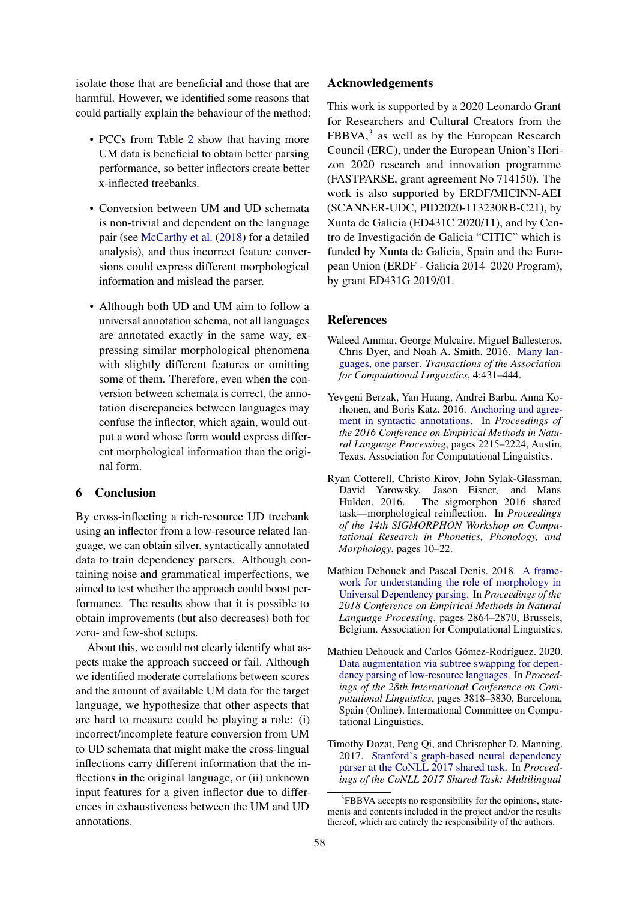isolate those that are beneficial and those that are harmful. However, we identified some reasons that could partially explain the behaviour of the method:

- PCCs from Table 2 show that having more UM data is beneficial to obtain better parsing performance, so better inflectors create better x-inflected treebanks.
- Conversion between UM and UD schemata is non-trivial and dependent on the language pair (see McCarthy et al. (2018) for a detailed analysis), and thus incorrect feature conversions could express different morphological information and mislead the parser.
- Although both UD and UM aim to follow a universal annotation schema, not all languages are annotated exactly in the same way, expressing similar morphological phenomena with slightly different features or omitting some of them. Therefore, even when the conversion between schemata is correct, the annotation discrepancies between languages may confuse the inflector, which again, would output a word whose form would express different morphological information than the original form.

# 6 Conclusion

By cross-inflecting a rich-resource UD treebank using an inflector from a low-resource related language, we can obtain silver, syntactically annotated data to train dependency parsers. Although containing noise and grammatical imperfections, we aimed to test whether the approach could boost performance. The results show that it is possible to obtain improvements (but also decreases) both for zero- and few-shot setups.

About this, we could not clearly identify what aspects make the approach succeed or fail. Although we identified moderate correlations between scores and the amount of available UM data for the target language, we hypothesize that other aspects that are hard to measure could be playing a role: (i) incorrect/incomplete feature conversion from UM to UD schemata that might make the cross-lingual inflections carry different information that the inflections in the original language, or (ii) unknown input features for a given inflector due to differences in exhaustiveness between the UM and UD annotations.

## Acknowledgements

This work is supported by a 2020 Leonardo Grant for Researchers and Cultural Creators from the  $FBBVA$ ,<sup>3</sup> as well as by the European Research Council (ERC), under the European Union's Horizon 2020 research and innovation programme (FASTPARSE, grant agreement No 714150). The work is also supported by ERDF/MICINN-AEI (SCANNER-UDC, PID2020-113230RB-C21), by Xunta de Galicia (ED431C 2020/11), and by Centro de Investigación de Galicia "CITIC" which is funded by Xunta de Galicia, Spain and the European Union (ERDF - Galicia 2014–2020 Program), by grant ED431G 2019/01.

#### References

- Waleed Ammar, George Mulcaire, Miguel Ballesteros, Chris Dyer, and Noah A. Smith. 2016. Many languages, one parser. *Transactions of the Association for Computational Linguistics*, 4:431–444.
- Yevgeni Berzak, Yan Huang, Andrei Barbu, Anna Korhonen, and Boris Katz. 2016. Anchoring and agreement in syntactic annotations. In *Proceedings of the 2016 Conference on Empirical Methods in Natural Language Processing*, pages 2215–2224, Austin, Texas. Association for Computational Linguistics.
- Ryan Cotterell, Christo Kirov, John Sylak-Glassman, David Yarowsky, Jason Eisner, and Mans Hulden. 2016. The sigmorphon 2016 shared task—morphological reinflection. In *Proceedings of the 14th SIGMORPHON Workshop on Computational Research in Phonetics, Phonology, and Morphology*, pages 10–22.
- Mathieu Dehouck and Pascal Denis. 2018. A framework for understanding the role of morphology in Universal Dependency parsing. In *Proceedings of the 2018 Conference on Empirical Methods in Natural Language Processing*, pages 2864–2870, Brussels, Belgium. Association for Computational Linguistics.
- Mathieu Dehouck and Carlos Gómez-Rodríguez. 2020. Data augmentation via subtree swapping for dependency parsing of low-resource languages. In *Proceedings of the 28th International Conference on Computational Linguistics*, pages 3818–3830, Barcelona, Spain (Online). International Committee on Computational Linguistics.
- Timothy Dozat, Peng Qi, and Christopher D. Manning. 2017. Stanford's graph-based neural dependency parser at the CoNLL 2017 shared task. In *Proceedings of the CoNLL 2017 Shared Task: Multilingual*

<sup>&</sup>lt;sup>3</sup>FBBVA accepts no responsibility for the opinions, statements and contents included in the project and/or the results thereof, which are entirely the responsibility of the authors.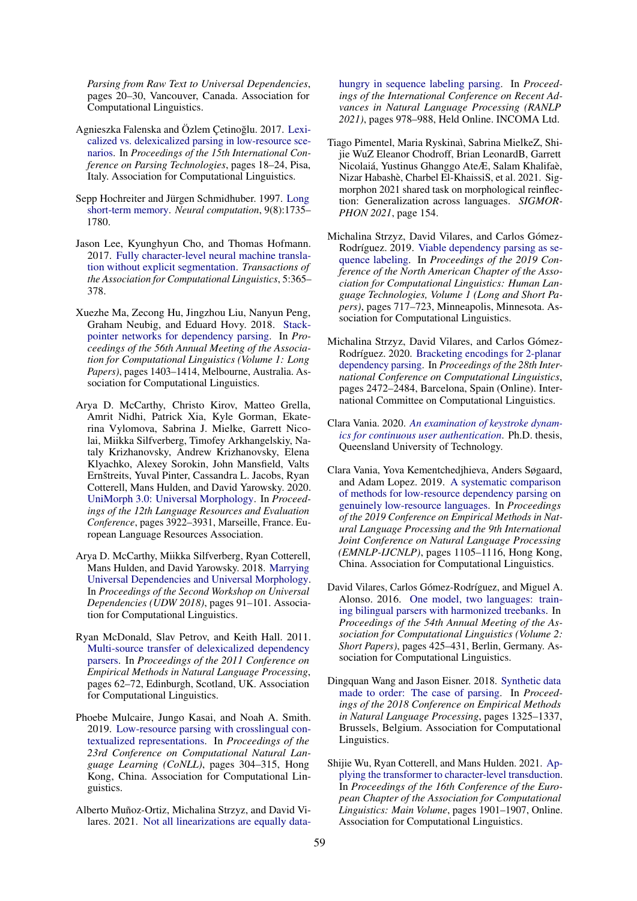*Parsing from Raw Text to Universal Dependencies*, pages 20–30, Vancouver, Canada. Association for Computational Linguistics.

- Agnieszka Falenska and Özlem Çetinoğlu. 2017. Lexicalized vs. delexicalized parsing in low-resource scenarios. In *Proceedings of the 15th International Conference on Parsing Technologies*, pages 18–24, Pisa, Italy. Association for Computational Linguistics.
- Sepp Hochreiter and Jürgen Schmidhuber. 1997. Long short-term memory. *Neural computation*, 9(8):1735– 1780.
- Jason Lee, Kyunghyun Cho, and Thomas Hofmann. 2017. Fully character-level neural machine translation without explicit segmentation. *Transactions of the Association for Computational Linguistics*, 5:365– 378.
- Xuezhe Ma, Zecong Hu, Jingzhou Liu, Nanyun Peng, Graham Neubig, and Eduard Hovy. 2018. Stackpointer networks for dependency parsing. In *Proceedings of the 56th Annual Meeting of the Association for Computational Linguistics (Volume 1: Long Papers)*, pages 1403–1414, Melbourne, Australia. Association for Computational Linguistics.
- Arya D. McCarthy, Christo Kirov, Matteo Grella, Amrit Nidhi, Patrick Xia, Kyle Gorman, Ekaterina Vylomova, Sabrina J. Mielke, Garrett Nicolai, Miikka Silfverberg, Timofey Arkhangelskiy, Nataly Krizhanovsky, Andrew Krizhanovsky, Elena Klyachko, Alexey Sorokin, John Mansfield, Valts Ernštreits, Yuval Pinter, Cassandra L. Jacobs, Ryan Cotterell, Mans Hulden, and David Yarowsky. 2020. UniMorph 3.0: Universal Morphology. In *Proceedings of the 12th Language Resources and Evaluation Conference*, pages 3922–3931, Marseille, France. European Language Resources Association.
- Arya D. McCarthy, Miikka Silfverberg, Ryan Cotterell, Mans Hulden, and David Yarowsky. 2018. Marrying Universal Dependencies and Universal Morphology. In *Proceedings of the Second Workshop on Universal Dependencies (UDW 2018)*, pages 91–101. Association for Computational Linguistics.
- Ryan McDonald, Slav Petrov, and Keith Hall. 2011. Multi-source transfer of delexicalized dependency parsers. In *Proceedings of the 2011 Conference on Empirical Methods in Natural Language Processing*, pages 62–72, Edinburgh, Scotland, UK. Association for Computational Linguistics.
- Phoebe Mulcaire, Jungo Kasai, and Noah A. Smith. 2019. Low-resource parsing with crosslingual contextualized representations. In *Proceedings of the 23rd Conference on Computational Natural Language Learning (CoNLL)*, pages 304–315, Hong Kong, China. Association for Computational Linguistics.
- Alberto Muñoz-Ortiz, Michalina Strzyz, and David Vilares. 2021. Not all linearizations are equally data-

hungry in sequence labeling parsing. In *Proceedings of the International Conference on Recent Advances in Natural Language Processing (RANLP 2021)*, pages 978–988, Held Online. INCOMA Ltd.

- Tiago Pimentel, Maria Ryskinaì, Sabrina MielkeZ, Shijie WuZ Eleanor Chodroff, Brian LeonardB, Garrett Nicolaiá, Yustinus Ghanggo AteÆ, Salam Khalifaè, Nizar Habashè, Charbel El-KhaissiS, et al. 2021. Sigmorphon 2021 shared task on morphological reinflection: Generalization across languages. *SIGMOR-PHON 2021*, page 154.
- Michalina Strzyz, David Vilares, and Carlos Gómez-Rodríguez. 2019. Viable dependency parsing as sequence labeling. In *Proceedings of the 2019 Conference of the North American Chapter of the Association for Computational Linguistics: Human Language Technologies, Volume 1 (Long and Short Papers)*, pages 717–723, Minneapolis, Minnesota. Association for Computational Linguistics.
- Michalina Strzyz, David Vilares, and Carlos Gómez-Rodríguez. 2020. Bracketing encodings for 2-planar dependency parsing. In *Proceedings of the 28th International Conference on Computational Linguistics*, pages 2472–2484, Barcelona, Spain (Online). International Committee on Computational Linguistics.
- Clara Vania. 2020. *An examination of keystroke dynamics for continuous user authentication*. Ph.D. thesis, Queensland University of Technology.
- Clara Vania, Yova Kementchedjhieva, Anders Søgaard, and Adam Lopez. 2019. A systematic comparison of methods for low-resource dependency parsing on genuinely low-resource languages. In *Proceedings of the 2019 Conference on Empirical Methods in Natural Language Processing and the 9th International Joint Conference on Natural Language Processing (EMNLP-IJCNLP)*, pages 1105–1116, Hong Kong, China. Association for Computational Linguistics.
- David Vilares, Carlos Gómez-Rodríguez, and Miguel A. Alonso. 2016. One model, two languages: training bilingual parsers with harmonized treebanks. In *Proceedings of the 54th Annual Meeting of the Association for Computational Linguistics (Volume 2: Short Papers)*, pages 425–431, Berlin, Germany. Association for Computational Linguistics.
- Dingquan Wang and Jason Eisner. 2018. Synthetic data made to order: The case of parsing. In *Proceedings of the 2018 Conference on Empirical Methods in Natural Language Processing*, pages 1325–1337, Brussels, Belgium. Association for Computational Linguistics.
- Shijie Wu, Ryan Cotterell, and Mans Hulden. 2021. Applying the transformer to character-level transduction. In *Proceedings of the 16th Conference of the European Chapter of the Association for Computational Linguistics: Main Volume*, pages 1901–1907, Online. Association for Computational Linguistics.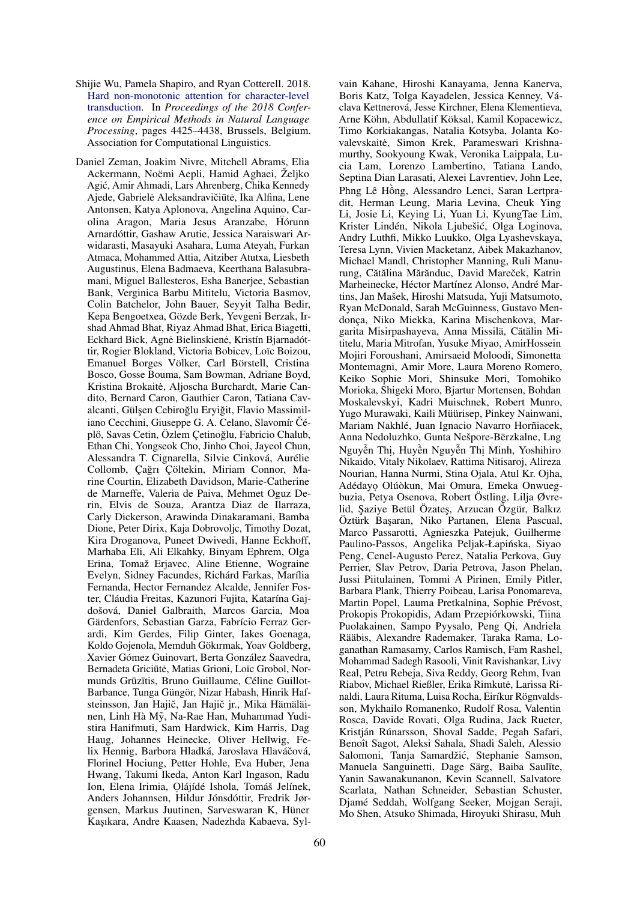- Shijie Wu, Pamela Shapiro, and Ryan Cotterell. 2018. Hard non-monotonic attention for character-level transduction. In *Proceedings of the 2018 Conference on Empirical Methods in Natural Language Processing*, pages 4425–4438, Brussels, Belgium. Association for Computational Linguistics.
- Daniel Zeman, Joakim Nivre, Mitchell Abrams, Elia Ackermann, Noëmi Aepli, Hamid Aghaei, Željko Agic, Amir Ahmadi, Lars Ahrenberg, Chika Kennedy ´ Ajede, Gabrielė Aleksandravičiūtė, Ika Alfina, Lene Antonsen, Katya Aplonova, Angelina Aquino, Carolina Aragon, Maria Jesus Aranzabe, Hórunn Arnardóttir, Gashaw Arutie, Jessica Naraiswari Arwidarasti, Masayuki Asahara, Luma Ateyah, Furkan Atmaca, Mohammed Attia, Aitziber Atutxa, Liesbeth Augustinus, Elena Badmaeva, Keerthana Balasubramani, Miguel Ballesteros, Esha Banerjee, Sebastian Bank, Verginica Barbu Mititelu, Victoria Basmov, Colin Batchelor, John Bauer, Seyyit Talha Bedir, Kepa Bengoetxea, Gözde Berk, Yevgeni Berzak, Irshad Ahmad Bhat, Riyaz Ahmad Bhat, Erica Biagetti, Eckhard Bick, Agne Bielinskiene, Kristín Bjarnadóttir, Rogier Blokland, Victoria Bobicev, Loïc Boizou, Emanuel Borges Völker, Carl Börstell, Cristina Bosco, Gosse Bouma, Sam Bowman, Adriane Boyd, Kristina Brokaitė, Aljoscha Burchardt, Marie Candito, Bernard Caron, Gauthier Caron, Tatiana Cavalcanti, Gülşen Cebiroğlu Eryiğit, Flavio Massimiliano Cecchini, Giuseppe G. A. Celano, Slavomír Čéplö, Savas Cetin, Özlem Çetinoglu, Fabricio Chalub, ˘ Ethan Chi, Yongseok Cho, Jinho Choi, Jayeol Chun, Alessandra T. Cignarella, Silvie Cinková, Aurélie Collomb, Çağrı Çöltekin, Miriam Connor, Marine Courtin, Elizabeth Davidson, Marie-Catherine de Marneffe, Valeria de Paiva, Mehmet Oguz Derin, Elvis de Souza, Arantza Diaz de Ilarraza, Carly Dickerson, Arawinda Dinakaramani, Bamba Dione, Peter Dirix, Kaja Dobrovoljc, Timothy Dozat, Kira Droganova, Puneet Dwivedi, Hanne Eckhoff, Marhaba Eli, Ali Elkahky, Binyam Ephrem, Olga Erina, Tomaž Erjavec, Aline Etienne, Wograine Evelyn, Sidney Facundes, Richárd Farkas, Marília Fernanda, Hector Fernandez Alcalde, Jennifer Foster, Cláudia Freitas, Kazunori Fujita, Katarína Gajdošová, Daniel Galbraith, Marcos Garcia, Moa Gärdenfors, Sebastian Garza, Fabrício Ferraz Gerardi, Kim Gerdes, Filip Ginter, Iakes Goenaga, Koldo Gojenola, Memduh Gökırmak, Yoav Goldberg, Xavier Gómez Guinovart, Berta González Saavedra, Bernadeta Griciūtė, Matias Grioni, Loïc Grobol, Normunds Grūzītis, Bruno Guillaume, Céline Guillot-Barbance, Tunga Güngör, Nizar Habash, Hinrik Hafsteinsson, Jan Hajič, Jan Hajič jr., Mika Hämäläinen, Linh Hà Mỹ, Na-Rae Han, Muhammad Yudistira Hanifmuti, Sam Hardwick, Kim Harris, Dag Haug, Johannes Heinecke, Oliver Hellwig, Felix Hennig, Barbora Hladká, Jaroslava Hlaváčová, Florinel Hociung, Petter Hohle, Eva Huber, Jena Hwang, Takumi Ikeda, Anton Karl Ingason, Radu Ion, Elena Irimia, Olájídé Ishola, Tomáš Jelínek, Anders Johannsen, Hildur Jónsdóttir, Fredrik Jørgensen, Markus Juutinen, Sarveswaran K, Hüner Kaşıkara, Andre Kaasen, Nadezhda Kabaeva, Syl-

vain Kahane, Hiroshi Kanayama, Jenna Kanerva, Boris Katz, Tolga Kayadelen, Jessica Kenney, Václava Kettnerová, Jesse Kirchner, Elena Klementieva, Arne Köhn, Abdullatif Köksal, Kamil Kopacewicz, Timo Korkiakangas, Natalia Kotsyba, Jolanta Kovalevskaitė, Simon Krek, Parameswari Krishnamurthy, Sookyoung Kwak, Veronika Laippala, Lucia Lam, Lorenzo Lambertino, Tatiana Lando, Septina Dian Larasati, Alexei Lavrentiev, John Lee, Phng Lê Hông, Alessandro Lenci, Saran Lertpra- ` dit, Herman Leung, Maria Levina, Cheuk Ying Li, Josie Li, Keying Li, Yuan Li, KyungTae Lim, Krister Lindén, Nikola Ljubešic, Olga Loginova, ´ Andry Luthfi, Mikko Luukko, Olga Lyashevskaya, Teresa Lynn, Vivien Macketanz, Aibek Makazhanov, Michael Mandl, Christopher Manning, Ruli Manurung, Cătălina Mărănduc, David Mareček, Katrin Marheinecke, Héctor Martínez Alonso, André Martins, Jan Mašek, Hiroshi Matsuda, Yuji Matsumoto, Ryan McDonald, Sarah McGuinness, Gustavo Mendonça, Niko Miekka, Karina Mischenkova, Margarita Misirpashayeva, Anna Missilä, Cătălin Mititelu, Maria Mitrofan, Yusuke Miyao, AmirHossein Mojiri Foroushani, Amirsaeid Moloodi, Simonetta Montemagni, Amir More, Laura Moreno Romero, Keiko Sophie Mori, Shinsuke Mori, Tomohiko Morioka, Shigeki Moro, Bjartur Mortensen, Bohdan Moskalevskyi, Kadri Muischnek, Robert Munro, Yugo Murawaki, Kaili Müürisep, Pinkey Nainwani, Mariam Nakhlé, Juan Ignacio Navarro Horñiacek, Anna Nedoluzhko, Gunta Nešpore-Berzkalne, Lng ¯ Nguyễn Thị, Huyền Nguyễn Thị Minh, Yoshihiro Nikaido, Vitaly Nikolaev, Rattima Nitisaroj, Alireza Nourian, Hanna Nurmi, Stina Ojala, Atul Kr. Ojha, Adédayo. Olúòkun, Mai Omura, Emeka Onwuegbuzia, Petya Osenova, Robert Östling, Lilja Øvrelid, Şaziye Betül Özateş, Arzucan Özgür, Balkız Öztürk Ba¸saran, Niko Partanen, Elena Pascual, Marco Passarotti, Agnieszka Patejuk, Guilherme Paulino-Passos, Angelika Peljak-Łapińska, Siyao Peng, Cenel-Augusto Perez, Natalia Perkova, Guy Perrier, Slav Petrov, Daria Petrova, Jason Phelan, Jussi Piitulainen, Tommi A Pirinen, Emily Pitler, Barbara Plank, Thierry Poibeau, Larisa Ponomareva, Martin Popel, Lauma Pretkalnina, Sophie Prévost, Prokopis Prokopidis, Adam Przepiórkowski, Tiina Puolakainen, Sampo Pyysalo, Peng Qi, Andriela Rääbis, Alexandre Rademaker, Taraka Rama, Loganathan Ramasamy, Carlos Ramisch, Fam Rashel, Mohammad Sadegh Rasooli, Vinit Ravishankar, Livy Real, Petru Rebeja, Siva Reddy, Georg Rehm, Ivan Riabov, Michael Rießler, Erika Rimkute, Larissa Ri- ˙ naldi, Laura Rituma, Luisa Rocha, Eiríkur Rögnvaldsson, Mykhailo Romanenko, Rudolf Rosa, Valentin Rosca, Davide Rovati, Olga Rudina, Jack Rueter, Kristján Rúnarsson, Shoval Sadde, Pegah Safari, Benoît Sagot, Aleksi Sahala, Shadi Saleh, Alessio Salomoni, Tanja Samardžić, Stephanie Samson, Manuela Sanguinetti, Dage Särg, Baiba Saulīte, Yanin Sawanakunanon, Kevin Scannell, Salvatore Scarlata, Nathan Schneider, Sebastian Schuster, Djamé Seddah, Wolfgang Seeker, Mojgan Seraji, Mo Shen, Atsuko Shimada, Hiroyuki Shirasu, Muh